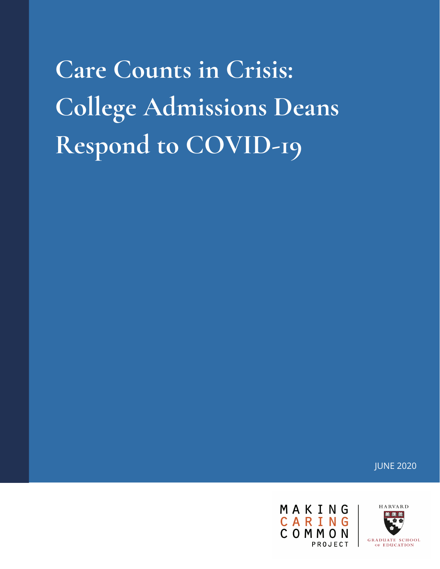**Care Counts in Crisis: College Admissions Deans Respond to COVID-19**

JUNE 2020

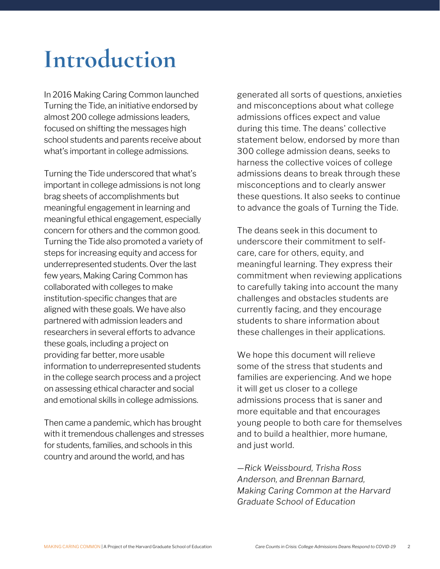### **Introduction**

In 2016 Making Caring Common launched Turning the Tide, an initiative endorsed by almost 200 college admissions leaders, focused on shifting the messages high school students and parents receive about what's important in college admissions.

Turning the Tide underscored that what's important in college admissions is not long brag sheets of accomplishments but meaningful engagement in learning and meaningful ethical engagement, especially concern for others and the common good. Turning the Tide also promoted a variety of steps for increasing equity and access for underrepresented students. Over the last few years, Making Caring Common has collaborated with colleges to make institution-specific changes that are aligned with these goals. We have also partnered with admission leaders and researchers in several efforts to advance these goals, including a project on providing far better, more usable information to underrepresented students in the college search process and a project on assessing ethical character and social and emotional skills in college admissions.

Then came a pandemic, which has brought with it tremendous challenges and stresses for students, families, and schools in this country and around the world, and has

generated all sorts of questions, anxieties and misconceptions about what college admissions offices expect and value during this time. The deans' collective statement below, endorsed by more than 300 college admission deans, seeks to harness the collective voices of college admissions deans to break through these misconceptions and to clearly answer these questions. It also seeks to continue to advance the goals of Turning the Tide.

The deans seek in this document to underscore their commitment to selfcare, care for others, equity, and meaningful learning. They express their commitment when reviewing applications to carefully taking into account the many challenges and obstacles students are currently facing, and they encourage students to share information about these challenges in their applications.

We hope this document will relieve some of the stress that students and families are experiencing. And we hope it will get us closer to a college admissions process that is saner and more equitable and that encourages young people to both care for themselves and to build a healthier, more humane, and just world.

*—Rick Weissbourd, Trisha Ross Anderson, and Brennan Barnard, Making Caring Common at the Harvard Graduate School of Education*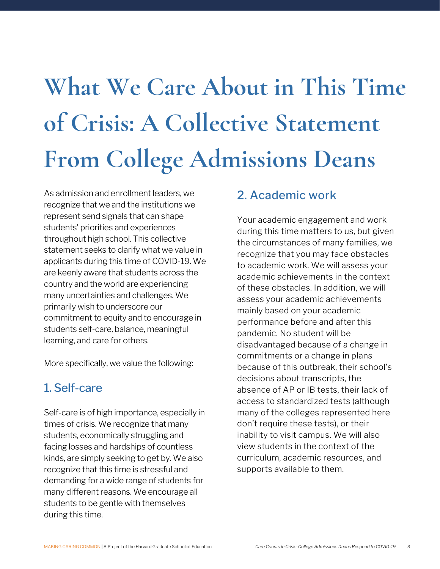# **What We Care About in This Time of Crisis: A Collective Statement From College Admissions Deans**

As admission and enrollment leaders, we recognize that we and the institutions we represent send signals that can shape students' priorities and experiences throughout high school. This collective statement seeks to clarify what we value in applicants during this time of COVID-19. We are keenly aware that students across the country and the world are experiencing many uncertainties and challenges. We primarily wish to underscore our commitment to equity and to encourage in students self-care, balance, meaningful learning, and care for others.

More specifically, we value the following:

#### 1. Self-care

Self-care is of high importance, especially in times of crisis. We recognize that many students, economically struggling and facing losses and hardships of countless kinds, are simply seeking to get by. We also recognize that this time is stressful and demanding for a wide range of students for many different reasons. We encourage all students to be gentle with themselves during this time.

#### 2. Academic work

Your academic engagement and work during this time matters to us, but given the circumstances of many families, we recognize that you may face obstacles to academic work. We will assess your academic achievements in the context of these obstacles. In addition, we will assess your academic achievements mainly based on your academic performance before and after this pandemic. No student will be disadvantaged because of a change in commitments or a change in plans because of this outbreak, their school's decisions about transcripts, the absence of AP or IB tests, their lack of access to standardized tests (although many of the colleges represented here don't require these tests), or their inability to visit campus. We will also view students in the context of the curriculum, academic resources, and supports available to them.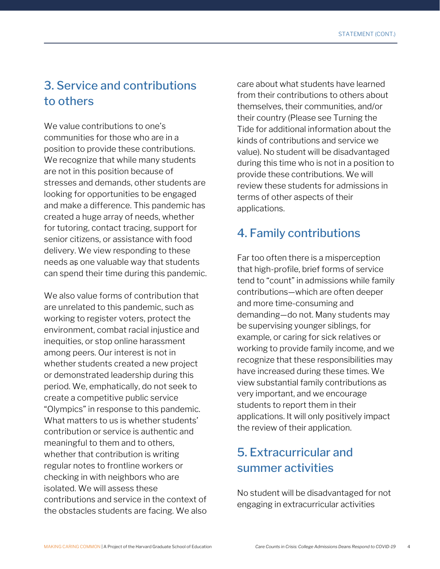#### 3. Service and contributions to others

We value contributions to one's communities for those who are in a position to provide these contributions. We recognize that while many students are not in this position because of stresses and demands, other students are looking for opportunities to be engaged and make a difference. This pandemic has created a huge array of needs, whether for tutoring, contact tracing, support for senior citizens, or assistance with food delivery. We view responding to these needs as one valuable way that students 1can spend their time during this pandemic.

We also value forms of contribution that are unrelated to this pandemic, such as working to register voters, protect the environment, combat racial injustice and inequities, or stop online harassment among peers. Our interest is not in whether students created a new project or demonstrated leadership during this period. We, emphatically, do not seek to create a competitive public service "Olympics" in response to this pandemic. What matters to us is whether students' contribution or service is authentic and meaningful to them and to others, whether that contribution is writing regular notes to frontline workers or checking in with neighbors who are isolated. We will assess these contributions and service in the context of the obstacles students are facing. We also

care about what students have learned from their contributions to others about themselves, their communities, and/or their country (Please see Turning the Tide for additional information about the kinds of contributions and service we value). No student will be disadvantaged during this time who is not in a position to provide these contributions. We will review these students for admissions in terms of other aspects of their applications.

#### 4. Family contributions

Far too often there is a misperception that high-profile, brief forms of service tend to "count" in admissions while family contributions—which are often deeper and more time-consuming and demanding—do not. Many students may be supervising younger siblings, for example, or caring for sick relatives or working to provide family income, and we recognize that these responsibilities may have increased during these times. We view substantial family contributions as very important, and we encourage students to report them in their applications. It will only positively impact the review of their application.

#### 5. Extracurricular and summer activities

No student will be disadvantaged for not engaging in extracurricular activities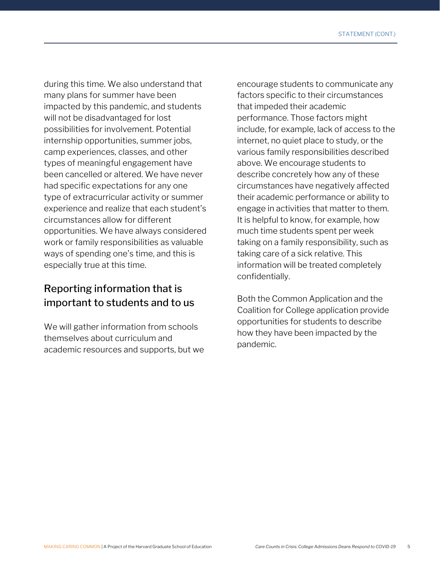during this time. We also understand that many plans for summer have been impacted by this pandemic, and students will not be disadvantaged for lost possibilities for involvement. Potential internship opportunities, summer jobs, camp experiences, classes, and other types of meaningful engagement have been cancelled or altered. We have never had specific expectations for any one type of extracurricular activity or summer experience and realize that each student's circumstances allow for different opportunities. We have always considered work or family responsibilities as valuable ways of spending one's time, and this is especially true at this time.

#### Reporting information that is important to students and to us

We will gather information from schools themselves about curriculum and academic resources and supports, but we

encourage students to communicate any factors specific to their circumstances that impeded their academic performance. Those factors might include, for example, lack of access to the internet, no quiet place to study, or the various family responsibilities described above. We encourage students to describe concretely how any of these circumstances have negatively affected their academic performance or ability to engage in activities that matter to them. It is helpful to know, for example, how much time students spent per week taking on a family responsibility, such as taking care of a sick relative. This information will be treated completely confidentially.

Both the Common Application and the Coalition for College application provide opportunities for students to describe how they have been impacted by the pandemic.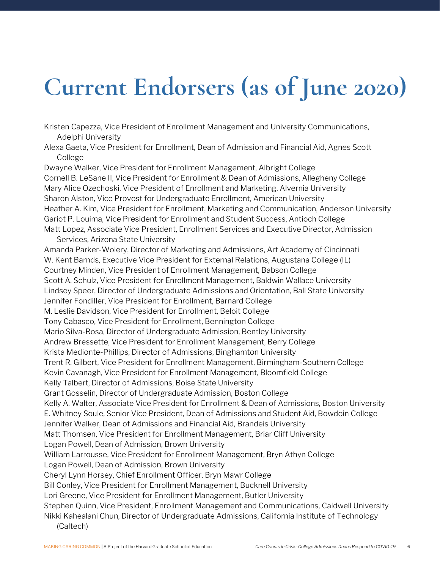## **Current Endorsers (as of June 2020)**

Kristen Capezza, Vice President of Enrollment Management and University Communications, Adelphi University

Alexa Gaeta, Vice President for Enrollment, Dean of Admission and Financial Aid, Agnes Scott College

Dwayne Walker, Vice President for Enrollment Management, Albright College Cornell B. LeSane II, Vice President for Enrollment & Dean of Admissions, Allegheny College Mary Alice Ozechoski, Vice President of Enrollment and Marketing, Alvernia University Sharon Alston, Vice Provost for Undergraduate Enrollment, American University Heather A. Kim, Vice President for Enrollment, Marketing and Communication, Anderson University Gariot P. Louima, Vice President for Enrollment and Student Success, Antioch College Matt Lopez, Associate Vice President, Enrollment Services and Executive Director, Admission

Services, Arizona State University

Amanda Parker-Wolery, Director of Marketing and Admissions, Art Academy of Cincinnati W. Kent Barnds, Executive Vice President for External Relations, Augustana College (IL) Courtney Minden, Vice President of Enrollment Management, Babson College Scott A. Schulz, Vice President for Enrollment Management, Baldwin Wallace University Lindsey Speer, Director of Undergraduate Admissions and Orientation, Ball State University Jennifer Fondiller, Vice President for Enrollment, Barnard College M. Leslie Davidson, Vice President for Enrollment, Beloit College Tony Cabasco, Vice President for Enrollment, Bennington College Mario Silva-Rosa, Director of Undergraduate Admission, Bentley University Andrew Bressette, Vice President for Enrollment Management, Berry College Krista Medionte-Phillips, Director of Admissions, Binghamton University Trent R. Gilbert, Vice President for Enrollment Management, Birmingham-Southern College Kevin Cavanagh, Vice President for Enrollment Management, Bloomfield College Kelly Talbert, Director of Admissions, Boise State University Grant Gosselin, Director of Undergraduate Admission, Boston College Kelly A. Walter, Associate Vice President for Enrollment & Dean of Admissions, Boston University E. Whitney Soule, Senior Vice President, Dean of Admissions and Student Aid, Bowdoin College Jennifer Walker, Dean of Admissions and Financial Aid, Brandeis University Matt Thomsen, Vice President for Enrollment Management, Briar Cliff University Logan Powell, Dean of Admission, Brown University William Larrousse, Vice President for Enrollment Management, Bryn Athyn College Logan Powell, Dean of Admission, Brown University Cheryl Lynn Horsey, Chief Enrollment Officer, Bryn Mawr College Bill Conley, Vice President for Enrollment Management, Bucknell University Lori Greene, Vice President for Enrollment Management, Butler University Stephen Quinn, Vice President, Enrollment Management and Communications, Caldwell University Nikki Kahealani Chun, Director of Undergraduate Admissions, California Institute of Technology (Caltech)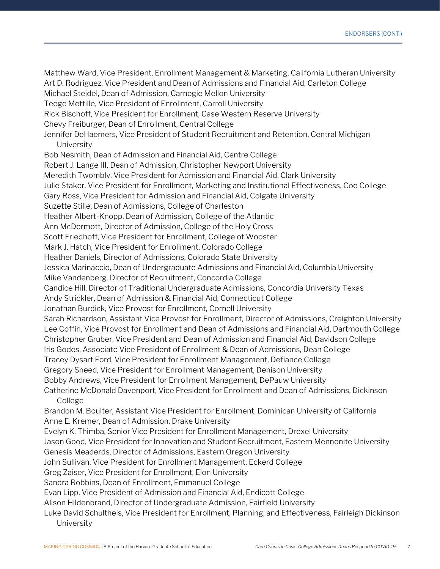Matthew Ward, Vice President, Enrollment Management & Marketing, California Lutheran University Art D. Rodriguez, Vice President and Dean of Admissions and Financial Aid, Carleton College Michael Steidel, Dean of Admission, Carnegie Mellon University Teege Mettille, Vice President of Enrollment, Carroll University Rick Bischoff, Vice President for Enrollment, Case Western Reserve University Chevy Freiburger, Dean of Enrollment, Central College Jennifer DeHaemers, Vice President of Student Recruitment and Retention, Central Michigan **University** Bob Nesmith, Dean of Admission and Financial Aid, Centre College Robert J. Lange III, Dean of Admission, Christopher Newport University Meredith Twombly, Vice President for Admission and Financial Aid, Clark University Julie Staker, Vice President for Enrollment, Marketing and Institutional Effectiveness, Coe College Gary Ross, Vice President for Admission and Financial Aid, Colgate University Suzette Stille, Dean of Admissions, College of Charleston Heather Albert-Knopp, Dean of Admission, College of the Atlantic Ann McDermott, Director of Admission, College of the Holy Cross Scott Friedhoff, Vice President for Enrollment, College of Wooster Mark J. Hatch, Vice President for Enrollment, Colorado College Heather Daniels, Director of Admissions, Colorado State University Jessica Marinaccio, Dean of Undergraduate Admissions and Financial Aid, Columbia University Mike Vandenberg, Director of Recruitment, Concordia College Candice Hill, Director of Traditional Undergraduate Admissions, Concordia University Texas Andy Strickler, Dean of Admission & Financial Aid, Connecticut College Jonathan Burdick, Vice Provost for Enrollment, Cornell University Sarah Richardson, Assistant Vice Provost for Enrollment, Director of Admissions, Creighton University Lee Coffin, Vice Provost for Enrollment and Dean of Admissions and Financial Aid, Dartmouth College Christopher Gruber, Vice President and Dean of Admission and Financial Aid, Davidson College Iris Godes, Associate Vice President of Enrollment & Dean of Admissions, Dean College Tracey Dysart Ford, Vice President for Enrollment Management, Defiance College Gregory Sneed, Vice President for Enrollment Management, Denison University Bobby Andrews, Vice President for Enrollment Management, DePauw University Catherine McDonald Davenport, Vice President for Enrollment and Dean of Admissions, Dickinson College Brandon M. Boulter, Assistant Vice President for Enrollment, Dominican University of California Anne E. Kremer, Dean of Admission, Drake University Evelyn K. Thimba, Senior Vice President for Enrollment Management, Drexel University Jason Good, Vice President for Innovation and Student Recruitment, Eastern Mennonite University Genesis Meaderds, Director of Admissions, Eastern Oregon University John Sullivan, Vice President for Enrollment Management, Eckerd College Greg Zaiser, Vice President for Enrollment, Elon University Sandra Robbins, Dean of Enrollment, Emmanuel College Evan Lipp, Vice President of Admission and Financial Aid, Endicott College Alison Hildenbrand, Director of Undergraduate Admission, Fairfield University Luke David Schultheis, Vice President for Enrollment, Planning, and Effectiveness, Fairleigh Dickinson **University**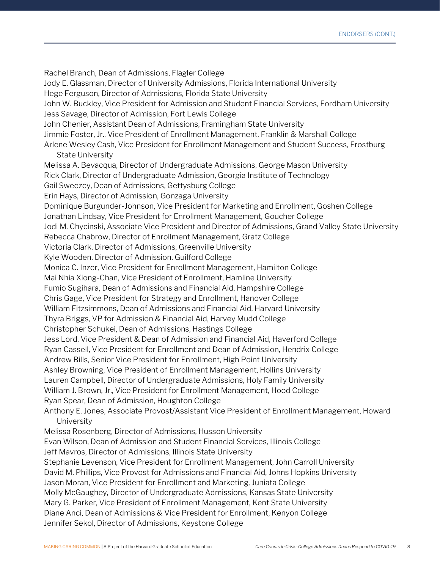Rachel Branch, Dean of Admissions, Flagler College Jody E. Glassman, Director of University Admissions, Florida International University Hege Ferguson, Director of Admissions, Florida State University John W. Buckley, Vice President for Admission and Student Financial Services, Fordham University Jess Savage, Director of Admission, Fort Lewis College John Chenier, Assistant Dean of Admissions, Framingham State University Jimmie Foster, Jr., Vice President of Enrollment Management, Franklin & Marshall College Arlene Wesley Cash, Vice President for Enrollment Management and Student Success, Frostburg State University Melissa A. Bevacqua, Director of Undergraduate Admissions, George Mason University Rick Clark, Director of Undergraduate Admission, Georgia Institute of Technology Gail Sweezey, Dean of Admissions, Gettysburg College Erin Hays, Director of Admission, Gonzaga University Dominique Burgunder-Johnson, Vice President for Marketing and Enrollment, Goshen College Jonathan Lindsay, Vice President for Enrollment Management, Goucher College Jodi M. Chycinski, Associate Vice President and Director of Admissions, Grand Valley State University Rebecca Chabrow, Director of Enrollment Management, Gratz College Victoria Clark, Director of Admissions, Greenville University Kyle Wooden, Director of Admission, Guilford College Monica C. Inzer, Vice President for Enrollment Management, Hamilton College Mai Nhia Xiong-Chan, Vice President of Enrollment, Hamline University Fumio Sugihara, Dean of Admissions and Financial Aid, Hampshire College Chris Gage, Vice President for Strategy and Enrollment, Hanover College William Fitzsimmons, Dean of Admissions and Financial Aid, Harvard University Thyra Briggs, VP for Admission & Financial Aid, Harvey Mudd College Christopher Schukei, Dean of Admissions, Hastings College Jess Lord, Vice President & Dean of Admission and Financial Aid, Haverford College Ryan Cassell, Vice President for Enrollment and Dean of Admission, Hendrix College Andrew Bills, Senior Vice President for Enrollment, High Point University Ashley Browning, Vice President of Enrollment Management, Hollins University Lauren Campbell, Director of Undergraduate Admissions, Holy Family University William J. Brown, Jr., Vice President for Enrollment Management, Hood College Ryan Spear, Dean of Admission, Houghton College Anthony E. Jones, Associate Provost/Assistant Vice President of Enrollment Management, Howard University Melissa Rosenberg, Director of Admissions, Husson University Evan Wilson, Dean of Admission and Student Financial Services, Illinois College Jeff Mavros, Director of Admissions, Illinois State University Stephanie Levenson, Vice President for Enrollment Management, John Carroll University David M. Phillips, Vice Provost for Admissions and Financial Aid, Johns Hopkins University Jason Moran, Vice President for Enrollment and Marketing, Juniata College Molly McGaughey, Director of Undergraduate Admissions, Kansas State University Mary G. Parker, Vice President of Enrollment Management, Kent State University Diane Anci, Dean of Admissions & Vice President for Enrollment, Kenyon College Jennifer Sekol, Director of Admissions, Keystone College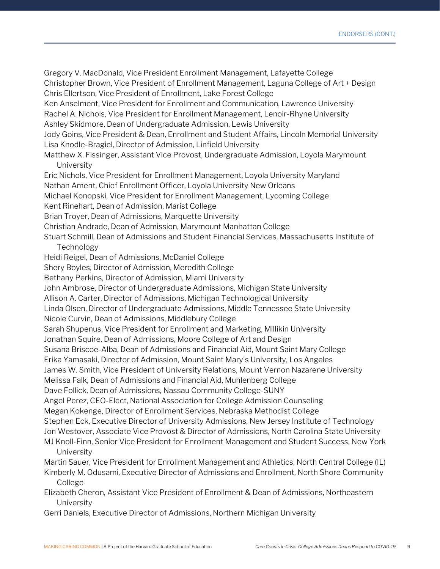Gregory V. MacDonald, Vice President Enrollment Management, Lafayette College Christopher Brown, Vice President of Enrollment Management, Laguna College of Art + Design Chris Ellertson, Vice President of Enrollment, Lake Forest College Ken Anselment, Vice President for Enrollment and Communication, Lawrence University Rachel A. Nichols, Vice President for Enrollment Management, Lenoir-Rhyne University Ashley Skidmore, Dean of Undergraduate Admission, Lewis University Jody Goins, Vice President & Dean, Enrollment and Student Affairs, Lincoln Memorial University Lisa Knodle-Bragiel, Director of Admission, Linfield University Matthew X. Fissinger, Assistant Vice Provost, Undergraduate Admission, Loyola Marymount **University** Eric Nichols, Vice President for Enrollment Management, Loyola University Maryland Nathan Ament, Chief Enrollment Officer, Loyola University New Orleans Michael Konopski, Vice President for Enrollment Management, Lycoming College Kent Rinehart, Dean of Admission, Marist College Brian Troyer, Dean of Admissions, Marquette University Christian Andrade, Dean of Admission, Marymount Manhattan College Stuart Schmill, Dean of Admissions and Student Financial Services, Massachusetts Institute of Technology Heidi Reigel, Dean of Admissions, McDaniel College Shery Boyles, Director of Admission, Meredith College Bethany Perkins, Director of Admission, Miami University John Ambrose, Director of Undergraduate Admissions, Michigan State University Allison A. Carter, Director of Admissions, Michigan Technological University Linda Olsen, Director of Undergraduate Admissions, Middle Tennessee State University Nicole Curvin, Dean of Admissions, Middlebury College Sarah Shupenus, Vice President for Enrollment and Marketing, Millikin University Jonathan Squire, Dean of Admissions, Moore College of Art and Design Susana Briscoe-Alba, Dean of Admissions and Financial Aid, Mount Saint Mary College Erika Yamasaki, Director of Admission, Mount Saint Mary's University, Los Angeles James W. Smith, Vice President of University Relations, Mount Vernon Nazarene University Melissa Falk, Dean of Admissions and Financial Aid, Muhlenberg College Dave Follick, Dean of Admissions, Nassau Community College-SUNY Angel Perez, CEO-Elect, National Association for College Admission Counseling Megan Kokenge, Director of Enrollment Services, Nebraska Methodist College Stephen Eck, Executive Director of University Admissions, New Jersey Institute of Technology Jon Westover, Associate Vice Provost & Director of Admissions, North Carolina State University MJ Knoll-Finn, Senior Vice President for Enrollment Management and Student Success, New York University Martin Sauer, Vice President for Enrollment Management and Athletics, North Central College (IL) Kimberly M. Odusami, Executive Director of Admissions and Enrollment, North Shore Community College Elizabeth Cheron, Assistant Vice President of Enrollment & Dean of Admissions, Northeastern University

Gerri Daniels, Executive Director of Admissions, Northern Michigan University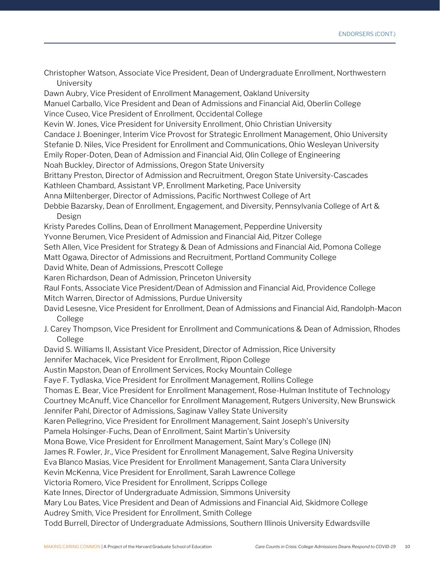Christopher Watson, Associate Vice President, Dean of Undergraduate Enrollment, Northwestern University Dawn Aubry, Vice President of Enrollment Management, Oakland University Manuel Carballo, Vice President and Dean of Admissions and Financial Aid, Oberlin College Vince Cuseo, Vice President of Enrollment, Occidental College Kevin W. Jones, Vice President for University Enrollment, Ohio Christian University Candace J. Boeninger, Interim Vice Provost for Strategic Enrollment Management, Ohio University Stefanie D. Niles, Vice President for Enrollment and Communications, Ohio Wesleyan University Emily Roper-Doten, Dean of Admission and Financial Aid, Olin College of Engineering Noah Buckley, Director of Admissions, Oregon State University Brittany Preston, Director of Admission and Recruitment, Oregon State University-Cascades Kathleen Chambard, Assistant VP, Enrollment Marketing, Pace University Anna Miltenberger, Director of Admissions, Pacific Northwest College of Art Debbie Bazarsky, Dean of Enrollment, Engagement, and Diversity, Pennsylvania College of Art & Design Kristy Paredes Collins, Dean of Enrollment Management, Pepperdine University Yvonne Berumen, Vice President of Admission and Financial Aid, Pitzer College Seth Allen, Vice President for Strategy & Dean of Admissions and Financial Aid, Pomona College Matt Ogawa, Director of Admissions and Recruitment, Portland Community College David White, Dean of Admissions, Prescott College Karen Richardson, Dean of Admission, Princeton University Raul Fonts, Associate Vice President/Dean of Admission and Financial Aid, Providence College Mitch Warren, Director of Admissions, Purdue University David Lesesne, Vice President for Enrollment, Dean of Admissions and Financial Aid, Randolph-Macon College J. Carey Thompson, Vice President for Enrollment and Communications & Dean of Admission, Rhodes College David S. Williams II, Assistant Vice President, Director of Admission, Rice University Jennifer Machacek, Vice President for Enrollment, Ripon College Austin Mapston, Dean of Enrollment Services, Rocky Mountain College Faye F. Tydlaska, Vice President for Enrollment Management, Rollins College Thomas E. Bear, Vice President for Enrollment Management, Rose-Hulman Institute of Technology Courtney McAnuff, Vice Chancellor for Enrollment Management, Rutgers University, New Brunswick Jennifer Pahl, Director of Admissions, Saginaw Valley State University Karen Pellegrino, Vice President for Enrollment Management, Saint Joseph's University Pamela Holsinger-Fuchs, Dean of Enrollment, Saint Martin's University Mona Bowe, Vice President for Enrollment Management, Saint Mary's College (IN) James R. Fowler, Jr., Vice President for Enrollment Management, Salve Regina University Eva Blanco Masias, Vice President for Enrollment Management, Santa Clara University Kevin McKenna, Vice President for Enrollment, Sarah Lawrence College Victoria Romero, Vice President for Enrollment, Scripps College Kate Innes, Director of Undergraduate Admission, Simmons University Mary Lou Bates, Vice President and Dean of Admissions and Financial Aid, Skidmore College Audrey Smith, Vice President for Enrollment, Smith College Todd Burrell, Director of Undergraduate Admissions, Southern Illinois University Edwardsville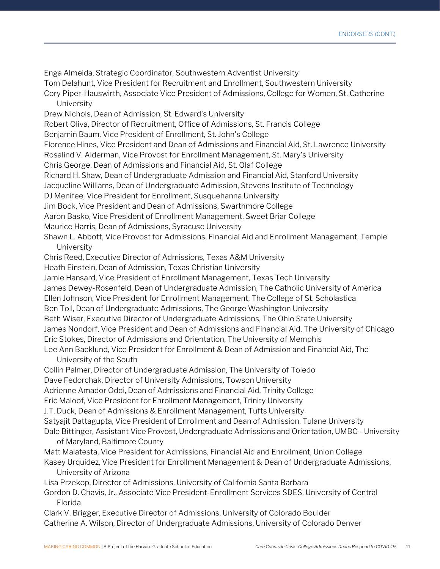Enga Almeida, Strategic Coordinator, Southwestern Adventist University Tom Delahunt, Vice President for Recruitment and Enrollment, Southwestern University Cory Piper-Hauswirth, Associate Vice President of Admissions, College for Women, St. Catherine University Drew Nichols, Dean of Admission, St. Edward's University Robert Oliva, Director of Recruitment, Office of Admissions, St. Francis College Benjamin Baum, Vice President of Enrollment, St. John's College Florence Hines, Vice President and Dean of Admissions and Financial Aid, St. Lawrence University Rosalind V. Alderman, Vice Provost for Enrollment Management, St. Mary's University Chris George, Dean of Admissions and Financial Aid, St. Olaf College Richard H. Shaw, Dean of Undergraduate Admission and Financial Aid, Stanford University Jacqueline Williams, Dean of Undergraduate Admission, Stevens Institute of Technology DJ Menifee, Vice President for Enrollment, Susquehanna University Jim Bock, Vice President and Dean of Admissions, Swarthmore College Aaron Basko, Vice President of Enrollment Management, Sweet Briar College Maurice Harris, Dean of Admissions, Syracuse University Shawn L. Abbott, Vice Provost for Admissions, Financial Aid and Enrollment Management, Temple University Chris Reed, Executive Director of Admissions, Texas A&M University Heath Einstein, Dean of Admission, Texas Christian University Jamie Hansard, Vice President of Enrollment Management, Texas Tech University James Dewey-Rosenfeld, Dean of Undergraduate Admission, The Catholic University of America Ellen Johnson, Vice President for Enrollment Management, The College of St. Scholastica Ben Toll, Dean of Undergraduate Admissions, The George Washington University Beth Wiser, Executive Director of Undergraduate Admissions, The Ohio State University James Nondorf, Vice President and Dean of Admissions and Financial Aid, The University of Chicago Eric Stokes, Director of Admissions and Orientation, The University of Memphis Lee Ann Backlund, Vice President for Enrollment & Dean of Admission and Financial Aid, The University of the South Collin Palmer, Director of Undergraduate Admission, The University of Toledo Dave Fedorchak, Director of University Admissions, Towson University Adrienne Amador Oddi, Dean of Admissions and Financial Aid, Trinity College Eric Maloof, Vice President for Enrollment Management, Trinity University J.T. Duck, Dean of Admissions & Enrollment Management, Tufts University Satyajit Dattagupta, Vice President of Enrollment and Dean of Admission, Tulane University Dale Bittinger, Assistant Vice Provost, Undergraduate Admissions and Orientation, UMBC - University of Maryland, Baltimore County Matt Malatesta, Vice President for Admissions, Financial Aid and Enrollment, Union College Kasey Urquidez, Vice President for Enrollment Management & Dean of Undergraduate Admissions, University of Arizona Lisa Przekop, Director of Admissions, University of California Santa Barbara Gordon D. Chavis, Jr., Associate Vice President-Enrollment Services SDES, University of Central Florida Clark V. Brigger, Executive Director of Admissions, University of Colorado Boulder

Catherine A. Wilson, Director of Undergraduate Admissions, University of Colorado Denver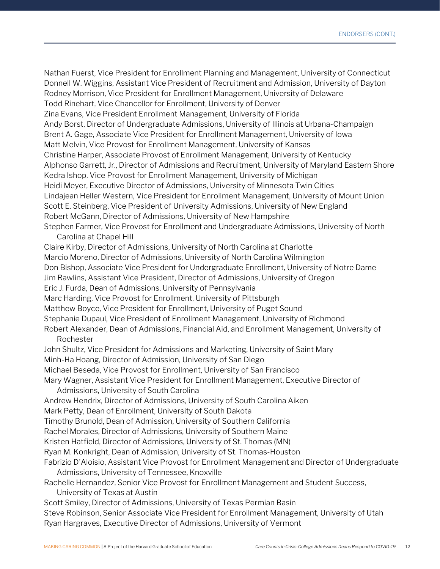Nathan Fuerst, Vice President for Enrollment Planning and Management, University of Connecticut Donnell W. Wiggins, Assistant Vice President of Recruitment and Admission, University of Dayton Rodney Morrison, Vice President for Enrollment Management, University of Delaware Todd Rinehart, Vice Chancellor for Enrollment, University of Denver Zina Evans, Vice President Enrollment Management, University of Florida Andy Borst, Director of Undergraduate Admissions, University of Illinois at Urbana-Champaign Brent A. Gage, Associate Vice President for Enrollment Management, University of Iowa Matt Melvin, Vice Provost for Enrollment Management, University of Kansas Christine Harper, Associate Provost of Enrollment Management, University of Kentucky Alphonso Garrett, Jr., Director of Admissions and Recruitment, University of Maryland Eastern Shore Kedra Ishop, Vice Provost for Enrollment Management, University of Michigan Heidi Meyer, Executive Director of Admissions, University of Minnesota Twin Cities Lindajean Heller Western, Vice President for Enrollment Management, University of Mount Union Scott E. Steinberg, Vice President of University Admissions, University of New England Robert McGann, Director of Admissions, University of New Hampshire Stephen Farmer, Vice Provost for Enrollment and Undergraduate Admissions, University of North Carolina at Chapel Hill Claire Kirby, Director of Admissions, University of North Carolina at Charlotte Marcio Moreno, Director of Admissions, University of North Carolina Wilmington Don Bishop, Associate Vice President for Undergraduate Enrollment, University of Notre Dame Jim Rawlins, Assistant Vice President, Director of Admissions, University of Oregon Eric J. Furda, Dean of Admissions, University of Pennsylvania Marc Harding, Vice Provost for Enrollment, University of Pittsburgh Matthew Boyce, Vice President for Enrollment, University of Puget Sound Stephanie Dupaul, Vice President of Enrollment Management, University of Richmond Robert Alexander, Dean of Admissions, Financial Aid, and Enrollment Management, University of Rochester John Shultz, Vice President for Admissions and Marketing, University of Saint Mary Minh-Ha Hoang, Director of Admission, University of San Diego Michael Beseda, Vice Provost for Enrollment, University of San Francisco Mary Wagner, Assistant Vice President for Enrollment Management, Executive Director of Admissions, University of South Carolina Andrew Hendrix, Director of Admissions, University of South Carolina Aiken Mark Petty, Dean of Enrollment, University of South Dakota Timothy Brunold, Dean of Admission, University of Southern California Rachel Morales, Director of Admissions, University of Southern Maine Kristen Hatfield, Director of Admissions, University of St. Thomas (MN) Ryan M. Konkright, Dean of Admission, University of St. Thomas-Houston Fabrizio D'Aloisio, Assistant Vice Provost for Enrollment Management and Director of Undergraduate Admissions, University of Tennessee, Knoxville Rachelle Hernandez, Senior Vice Provost for Enrollment Management and Student Success,

University of Texas at Austin

Scott Smiley, Director of Admissions, University of Texas Permian Basin

Steve Robinson, Senior Associate Vice President for Enrollment Management, University of Utah Ryan Hargraves, Executive Director of Admissions, University of Vermont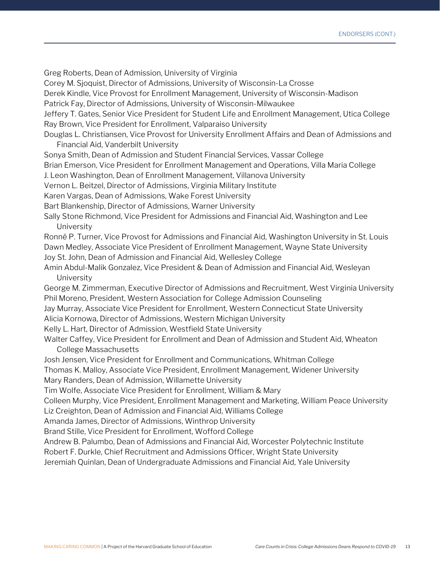Greg Roberts, Dean of Admission, University of Virginia

Corey M. Sjoquist, Director of Admissions, University of Wisconsin-La Crosse

Derek Kindle, Vice Provost for Enrollment Management, University of Wisconsin-Madison

Patrick Fay, Director of Admissions, University of Wisconsin-Milwaukee

Jeffery T. Gates, Senior Vice President for Student Life and Enrollment Management, Utica College Ray Brown, Vice President for Enrollment, Valparaiso University

- Douglas L. Christiansen, Vice Provost for University Enrollment Affairs and Dean of Admissions and Financial Aid, Vanderbilt University
- Sonya Smith, Dean of Admission and Student Financial Services, Vassar College
- Brian Emerson, Vice President for Enrollment Management and Operations, Villa Maria College

J. Leon Washington, Dean of Enrollment Management, Villanova University

Vernon L. Beitzel, Director of Admissions, Virginia Military Institute

Karen Vargas, Dean of Admissions, Wake Forest University

Bart Blankenship, Director of Admissions, Warner University

Sally Stone Richmond, Vice President for Admissions and Financial Aid, Washington and Lee University

Ronné P. Turner, Vice Provost for Admissions and Financial Aid, Washington University in St. Louis Dawn Medley, Associate Vice President of Enrollment Management, Wayne State University

Joy St. John, Dean of Admission and Financial Aid, Wellesley College

Amin Abdul-Malik Gonzalez, Vice President & Dean of Admission and Financial Aid, Wesleyan University

George M. Zimmerman, Executive Director of Admissions and Recruitment, West Virginia University Phil Moreno, President, Western Association for College Admission Counseling

Jay Murray, Associate Vice President for Enrollment, Western Connecticut State University

Alicia Kornowa, Director of Admissions, Western Michigan University

Kelly L. Hart, Director of Admission, Westfield State University

Walter Caffey, Vice President for Enrollment and Dean of Admission and Student Aid, Wheaton College Massachusetts

Josh Jensen, Vice President for Enrollment and Communications, Whitman College

Thomas K. Malloy, Associate Vice President, Enrollment Management, Widener University Mary Randers, Dean of Admission, Willamette University

Tim Wolfe, Associate Vice President for Enrollment, William & Mary

Colleen Murphy, Vice President, Enrollment Management and Marketing, William Peace University

Liz Creighton, Dean of Admission and Financial Aid, Williams College

Amanda James, Director of Admissions, Winthrop University

Brand Stille, Vice President for Enrollment, Wofford College

Andrew B. Palumbo, Dean of Admissions and Financial Aid, Worcester Polytechnic Institute

Robert F. Durkle, Chief Recruitment and Admissions Officer, Wright State University

Jeremiah Quinlan, Dean of Undergraduate Admissions and Financial Aid, Yale University